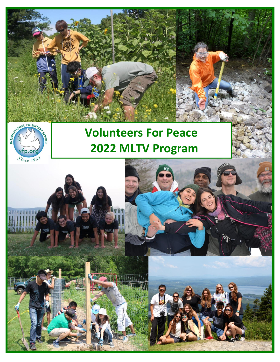



# **Volunteers For Peace 2022 MLTV Program**

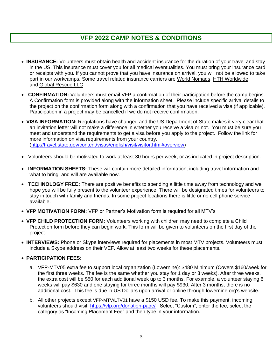## **VFP 2022 CAMP NOTES & CONDITIONS**

- **INSURANCE:** Volunteers must obtain health and accident insurance for the duration of your travel and stay in the US. This insurance must cover you for all medical eventualities. You must bring your insurance card or receipts with you. If you cannot prove that you have insurance on arrival, you will not be allowed to take part in our workcamps. Some travel related insurance carriers are [World Nomads,](https://www.worldnomads.com/travel-insurance/) [HTH Worldwide,](https://hthworldwide.net/) and [Global Rescue LLC](https://globalrescue.com/)
- **CONFIRMATION:** Volunteers must email VFP a confirmation of their participation before the camp begins. A Confirmation form is provided along with the information sheet. Please include specific arrival details to the project on the confirmation form along with a confirmation that you have received a visa (if applicable). Participation in a project may be cancelled if we do not receive confirmation.
- **VISA INFORMATION:** Regulations have changed and the US Department of State makes it very clear that an invitation letter will not make a difference in whether you receive a visa or not. You must be sure you meet and understand the requirements to get a visa before you apply to the project. Follow the link for more information on visa requirements from your country. [\(http://travel.state.gov/content/visas/english/visit/visitor.html#overview\)](http://travel.state.gov/content/visas/english/visit/visitor.html#overview)
- Volunteers should be motivated to work at least 30 hours per week, or as indicated in project description.
- **INFORMATION SHEETS:** These will contain more detailed information, including travel information and what to bring, and will are available now.
- **TECHNOLOGY FREE:** There are positive benefits to spending a little time away from technology and we hope you will be fully present to the volunteer experience. There will be designated times for volunteers to stay in touch with family and friends. In some project locations there is little or no cell phone service available.
- **VFP MOTIVATION FORM:** VFP or Partner's Motivation form is required for all MTV's
- **VFP CHILD PROTECTION FORM:** Volunteers working with children may need to complete a Child Protection form before they can begin work. This form will be given to volunteers on the first day of the project.
- **INTERVIEWS:** Phone or Skype interviews required for placements in most MTV projects. Volunteers must include a Skype address on their VEF. Allow at least two weeks for these placements.

#### • **PARTICIPATION FEES:**

- a. VFP-MTV05 extra fee to support local organization (Lowernine): \$480 Minimum (Covers \$160/week for the first three weeks. The fee is the same whether you stay for 1 day or 3 weeks). After three weeks, the extra cost will be \$50 for each additional week up to 3 months. For example, a volunteer staying 6 weeks will pay \$630 and one staying for three months will pay \$930. After 3 months, there is no additional cost. This fee is due in US Dollars upon arrival or online through [lowernine.org's](http://lowernine.org/) website.
- b. All other projects except VFP-MTV/LTV01 have a \$150 USD fee. To make this payment, incoming volunteers should visit <https://vfp.org/donation-page/>Select "Custom", enter the fee, select the category as "Incoming Placement Fee" and then type in your information.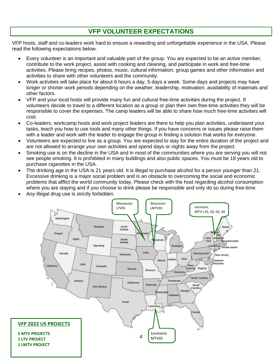# **VFP VOLUNTEER EXPECTATIONS**

VFP hosts, staff and co-leaders work hard to ensure a rewarding and unforgettable experience in the USA. Please read the following expectations below.

- Every volunteer is an important and valuable part of the group. You are expected to be an active member, contribute to the work project, assist with cooking and cleaning, and participate in work and free-time activities. Please bring recipes, photos, music, cultural information, group games and other information and activities to share with other volunteers and the community.
- Work activities will take place for about 6 hours a day, 5 days a week. Some days and projects may have longer or shorter work periods depending on the weather, leadership, motivation, availability of materials and other factors.
- VFP and your local hosts will provide many fun and cultural free-time activities during the project. If volunteers decide to travel to a different location as a group or plan their own free-time activities they will be responsible to cover the expenses. The camp leaders will be able to share how much free-time activities will cost.
- Co-leaders, workcamp hosts and work project leaders are there to help you plan activities, understand your tasks, teach you how to use tools and many other things. If you have concerns or issues please raise them with a leader and work with the leader to engage the group in finding a solution that works for everyone.
- Volunteers are expected to live as a group. You are expected to stay for the entire duration of the project and are not allowed to arrange your own activities and spend days or nights away from the project.
- Smoking use is on the decline in the USA and in most of the communities where you are serving you will not see people smoking. It is prohibited in many buildings and also public spaces. You must be 18 years old to purchase cigarettes in the USA.
- The drinking age in the USA is 21 years old. It is illegal to purchase alcohol for a person younger than 21. Excessive drinking is a major social problem and is an obstacle to overcoming the social and economic problems that afflict the world community today. Please check with the host regarding alcohol consumption where you are staying and if you choose to drink please be responsible and only do so during free-time.
- Any illegal drug use is strictly forbidden.

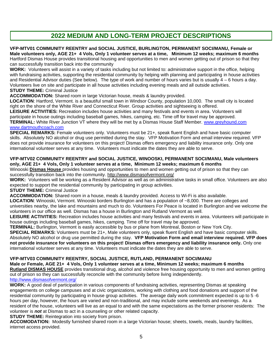### **2022 MEDIUM AND LONG-TERM PROJECT DESCRIPTIONS**

#### **VFP-MTV01 COMMUNITY REENTRY and SOCIAL JUSTICE, BURLINGTON, PERMANENT SOCI/MANU, Female or Male volunteers only, AGE 21+ 4 Vols, Only 1 volunteer serves at a time, Minimum 12 weeks; maximum 6 months**

Hartford Dismas House provides transitional housing and opportunities to men and women getting out of prison so that they can successfully transition back into the community

**WORK:** Volunteers will assist in a variety of tasks including but not limited to: administrative support in the office, helping with fundraising activities, supporting the residential community by helping with planning and participating in house activities and Residential Advisor duties (See below). The type of work and number of hours varies but is usually 4 – 6 hours a day. Volunteers live on site and participate in all house activities including evening meals and all outside activities. **STUDY THEME:** Criminal Justice

**ACCOMMODATION:** Shared room in large Victorian house, meals & laundry provided.

**LOCATION**: Hartford, Vermont. is a beautiful small town in Windsor County, population 10,000. The small city is located right on the shore of the White River and Connecticut River. Group activities and sightseeing is offered.

**LEISURE ACTIVITIES:** Recreation includes house activities and many festivals and events in area. Volunteers will participate in house outings including baseball games, hikes, camping, etc. Time off for travel may be approved. **TERMINAL:** White River Junction VT where they will be met by a Dismas House Staff Member. [www.greyhound.com](http://www.greyhound.com/) [www.dartmouthcoach.com](http://www.dartmouthcoach.com/)

**SPECIAL REMARKS:** Female volunteers only. Volunteers must be 21+, speak fluent English and have basic computer skills. Absolutely NO alcohol or drug use permitted during the stay. VFP Motivation Form and email interview required. VFP does not provide insurance for volunteers on this project! Dismas offers emergency and liability insurance only. Only one international volunteer serves at any time. Volunteers must indicate the dates they are able to serve.

#### **VFP-MTV02 COMMUNITY REENTRY and SOCIAL JUSTICE, WINOOSKI, PERMANENT SOCI/MANU, Male volunteers only, AGE 21+ 4 Vols, Only 1 volunteer serves at a time, Minimum 12 weeks; maximum 6 months**

Winooski **Dismas House** provides housing and opportunities to men and women getting out of prison so that they can successfully transition back into the community.<http://www.dismasofvermont.org/>

**WORK:** Volunteers will be working as a Resident Advisor as well as on administrative tasks in small office. Volunteers are also expected to support the residential community by participating in group activities.

**STUDY THEME:** Criminal Justice

**ACCOMMODATION:** Shared room in a house, meals & laundry provided. Access to Wi-Fi is also available.

LOCATION: Winooski, Vermont. Winooski borders Burlington and has a population of ~8,000. There are colleges and universities nearby, the lake and mountains and much to do. Volunteers For Peace is located in Burlington and we welcome the volunteers in our office as well. Dismas has a house in Burlington and Rutland Vermont as well.

**LEISURE ACTIVITIES:** Recreation includes house activities and many festivals and events in area. Volunteers will participate in house outings including baseball games, hikes, camping. Time off for travel may be approved.

**TERMINAL:** Burlington, Vermont is easily accessible by bus or plane from Montreal, Boston or New York City.

**SPECIAL REMARKS:** Volunteers must be 21+, Male volunteers only, speak fluent English and have basic computer skills. Absolutely NO alcohol or drug use permitted during the stay. **VFP Motivation Form and email interview required. VFP does not provide insurance for volunteers on this project! Dismas offers emergency and liability insurance only.** Only one international volunteer serves at any time. Volunteers must indicate the dates they are able to serve.

#### **VFP-MTV03 COMMUNITY REENTRY, SOCIAL JUSTICE, RUTLAND, PERMANENT SOCI/MANU**

**Male or Female, AGE 21+ 4 Vols, Only 1 volunteer serves at a time, Minimum 12 weeks; maximum 6 months Rutland DISMAS HOUSE** provides transitional drug, alcohol and violence free housing opportunity to men and women getting out of prison so they can successfully reconcile with the community before living independently. <http://www.dismasofvermont.org/>

**WORK:** A good deal of participation in various components of fundraising activities, representing Dismas at speaking engagements on college campuses and at civic organizations, working with clothing and food donations and support of the residential community by participating in house group activities. The average daily work commitment expected is up to 5 -6 hours per day, however, the hours are varied and non-traditional, and may include some weekends and evenings. As a resident of the house, volunteers will live as an equal to and with the same expectations as the former prisoner residents: The volunteer is *not* at Dismas to act in a counseling or other related capacity.

**STUDY THEME:** Reintegration into society from prison.

**ACCOMODATION:** Modestly furnished shared room in a large Victorian house; sheets, towels, meals, laundry facilities, internet access provided.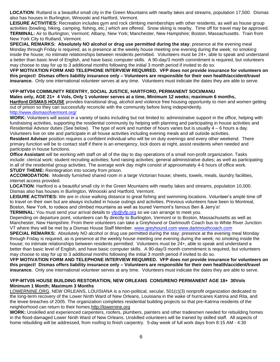**LOCATION**: Rutland is a beautiful small city in the Green Mountains with nearby lakes and streams, population 17,500. Dismas also has houses in Burlington, Winooski and Hartford, Vermont.

**LEISURE ACTIVITIES:** Recreation includes gym and rock climbing memberships with other residents, as well as house group activities (bowling, hiking, camping, fishing, etc.) which are offered. Snow skiing is nearby. Time off for travel may be approved. **TERMINAL:** Air to Burlington, Vermont; Albany, New York; Manchester, New Hampshire; Boston, Massachusetts. Train from New York City to Rutland, Vermont.

**SPECIAL REMARKS: Absolutely NO alcohol or drug use permitted during the stay**; presence at the evening meal Monday through Friday is required, as is presence at the weekly house meeting one evening during the week; no smoking inside the house; no intimate relationships between residents permitted. Volunteers must be 24+, able to speak and understand a better than basic level of English, and have basic computer skills. A 90-day/3 month commitment is required, but volunteers may choose to stay for up to 3 additional months following the initial 3 month period if invited to do so.

**VFP MOTIVATION FORM AND TELEPHONE INTERVIEW REQUIRED. VFP does not provide insurance for volunteers on this project! Dismas offers liability insurance only – Volunteers are responsible for their own health/accident/travel insurance.** Only one international volunteer serves at any time. Volunteers must indicate the dates they are able to serve.

#### **VFP-MTV04 COMMUNITY REENTRY, SOCIAL JUSTICE, HARTFORD, PERMANENT SOCI/MANU**

**Males only, AGE 21+ 4 Vols, Only 1 volunteer serves at a time, Minimum 12 weeks; maximum 6 months, Hartford DISMAS HOUSE** provides transitional drug, alcohol and violence free housing opportunity to men and women getting out of prison so they can successfully reconcile with the community before living independently.

<http://www.dismasofvermont.org/>

**WORK:** Volunteers will assist in a variety of tasks including but not limited to: administrative support in the office, helping with fundraising activities, supporting the residential community by helping with planning and participating in house activities and Residential Advisor duties (See below). The type of work and number of hours varies but is usually 4 – 6 hours a day. Volunteers live on site and participate in all house activities including evening meals and all outside activities.

**Resident Advisor** position requires a confident individual who will be on duty evenings and every other weekend. There primary function will be to contact staff if there is an emergency, lock doors at night, assist residents when needed and participate in house functions.

**Office Assistant** will be working with staff on all of the day to day operations of a small non-profit organization. Tasks include: clerical work; student recruiting activities; fund raising activities; general administrative duties; as well as participating in all of the residential group activities. The average work day might consist of approximately 4-6 hours of office work. **STUDY THEME:** Reintegration into society from prison.

**ACCOMODATION:** Modestly furnished shared room in a large Victorian house; sheets, towels, meals, laundry facilities, internet access provided.

**LOCATION**: Hartford is a beautiful small city in the Green Mountains with nearby lakes and streams, population 10,000. Dismas also has houses in Burlington, Winooski and Hartford, Vermont.

**LEISURE ACTIVITIES:** We are in close walking distance to great fishing and swimming locations. Volunteer's ample time off to travel on their own but are always included in house outings and activities. Previous volunteers have been to Montreal, Boston, New York, to rodeos and climbed mountains as well as toured Vermont's famous Ben & Jerry's!

**TERMINAL:** You must send your arrival details to [vfp@vfp.org](mailto:vfp@vfp.org) so we can arrange to meet you.

Depending on departure point, volunteers can fly directly to Burlington, Vermont or to Boston, Massachusetts as well as Manchester, New Hampshire. From there volunteers can take a Greyhound or Dartmouth Coach bus to White River Junction VT where they will be met by a Dismas House Staff Member. [www.greyhound.com](http://www.greyhound.com/) [www.dartmouthcoach.com](http://www.dartmouthcoach.com/)

**SPECIAL REMARKS:** Absolutely NO alcohol or drug use permitted during the stay; presence at the evening meal Monday through Friday is required, as is presence at the weekly house meeting one evening during the week; no smoking inside the house; no intimate relationships between residents permitted. Volunteers must be 24+, able to speak and understand a better than basic level of English, and have basic computer skills. A 90-day/3 month commitment is required, but volunteers may choose to stay for up to 3 additional months following the initial 3 month period if invited to do so.

**VFP MOTIVATION FORM AND TELEPHONE INTERVIEW REQUIRED. VFP does not provide insurance for volunteers on this project! Dismas offers liability insurance only – Volunteers are responsible for their own health/accident/travel insurance.** Only one international volunteer serves at any time. Volunteers must indicate the dates they are able to serve.

#### **VFP-MTV05 HOUSE BUILDING RESTORATION, NEW ORLEANS CONS/RENO PERMANENT AGE 18+ 30Vols Minimum 1 Month; Maximum 3 Months**

[LOWERNINE.ORG,](http://lowernine.org/) NEW ORLEANS, LOUISIANA is a non-political, secular, 501(c)(3) nonprofit organization dedicated to the long-term recovery of the Lower Ninth Ward of New Orleans, Louisiana in the wake of hurricanes Katrina and Rita, and the levee breaches of 2005. The organization completes residential building projects so that pre-Katrina residents of the neighborhood can return to their homes[.http://lowernine.org](http://lowernine.org/)

**WORK:** Unskilled and experienced carpenters, roofers, plumbers, painters and other tradesmen needed for rebuilding homes in the flood-damaged Lower Ninth Ward of New Orleans. Unskilled volunteers will be trained by skilled staff. All aspects of home rebuilding will be addressed, from roofing to finish carpentry. 5-day week of full work days from 8:15 AM - 4:30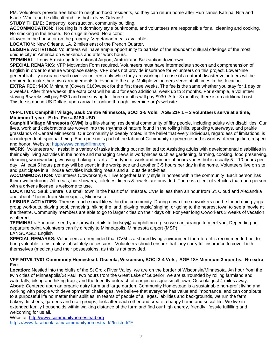PM. Volunteers provide free labor to neighborhood residents, so they can return home after Hurricanes Katrina, Rita and Isaac. Work can be difficult and it is hot in New Orleans!

**STUDY THEME:** Carpentry, construction, community building.

**ACCOMMODATION:** Housing is in dormitory style bunkrooms, and volunteers are responsible for all cleaning and cooking. No smoking in the house. No drugs allowed. No alcohol

allowed in the house or on the property. Vegetarian meals available.

**LOCATION:** New Orleans, LA, 2 miles east of the French Quarter.

**LEISURE ACTIVITIES:** Volunteers will have ample opportunity to partake of the abundant cultural offerings of the most unique city in America on weekends and after work hours.

**TERMINAL**: Louis Armstrong International Airport; Amtrak and Bus station downtown.

**SPECIAL REMARKS:** VFP Motivation Form required. Volunteers must have intermediate spoken and comprehension of English in order to ensure workplace safety. VFP does not provide insurance for volunteers on this project, LowerNine general liability insurance will cover volunteers only while they are working. In case of a natural disaster volunteers will be required to make their own arrangements to evacuate the city. Multiple volunteers serve at all times in this location. **EXTRA FEE:** \$480 Minimum (Covers \$160/week for the first three weeks. The fee is the same whether you stay for 1 day or 3 weeks). After three weeks, the extra cost will be \$50 for each additional week up to 3 months. For example, a volunteer staying 6 weeks will pay \$630 and one staying for three months will pay \$930. After 3 months, there is no additional cost. This fee is due in US Dollars upon arrival or online through [lowernine.org's](http://lowernine.org/) website.

#### **VFP-LTV01 Camphilll Village, Sauk Centre Minnesota, SOCI 3-5 Vols, AGE 21+ 1 – 3 volunteers serve at a time, Minimum 1 year, Extra Fee = \$150 USD**

**Camphill Village Minnesota (CVM)** is a life-sharing, residential community of fifty people, including adults with disabilities. Our lives, work and celebrations are woven into the rhythms of nature found in the rolling hills, sparkling waterways, and prairie grasslands of Central Minnesota. Our community is deeply rooted in the belief that every individual, regardless of limitations, is an independent, spiritual being. Each person is part of the fabric of Community experience and is worthy of recognition, respect and honor. Website: [http://www.camphillmn.org](http://www.camphillmn.org/)

**WORK:** Volunteers will assist in a variety of tasks including but not limited to: Assisting adults with developmental disabilities in their daily living activities in the home and managing crews in workplaces such as gardening, farming, cooking, food preserving, cleaning, woodworking, weaving, baking, or arts. The type of work and number of hours varies but is usually 5 – 10 hours per day. At least 5 hours per day will be spent in the workplace and another 3-5 hours per day in the home. Volunteers live on site and participate in all house activities including meals and all outside activities.

**ACCOMMODATION:** Volunteers (Coworkers) will live together family style in homes within the community. Each person has their own bedroom. All meals, hot showers, toiletries, linens & towels are provided. There is a fleet of vehicles that each person with a driver's license is welcome to use.

**LOCATION:.** Sauk Centre is a small town in the heart of Minnesota. CVM is less than an hour from St. Cloud and Alexandria and about 2 hours from Minneapolis, Minnesota.

**LEISURE ACTIVITIES:** There is a rich social life within the community. During down time coworkers can be found doing yoga, group workouts, playing pool, canoeing, hiking the land, playing music/ singing, or going to the nearest town to see a movie at the theatre. Community members are able to go to larger cities on their days off. For year long Coworkers 3 weeks of vacation is offered.

**TERMINAL:.** You must send your arrival details to lindsey@camphillmn.org so we can arrange to meet you. Depending on departure point, volunteers can fly directly to Minneapolis, Minnesota airport (MSP). LANGUAGE: English

**SPECIAL REMARKS:** Volunteers are reminded that CVM is a shared living environment therefore it is recommended not to bring valuable items, unless absolutely necessary. Volunteers should ensure that they carry full insurance to cover both themselves (medical) and their possessions, as this is not provided.

#### **VFP-MTV/LTV01 Community Homestead, Osceola, Wisconsin, SOCI 3-4 Vols, AGE 18+ Minimum 3 months, No extra Fee**

**Location:** Nestled into the bluffs of the St Croix River Valley, we are on the border of Wisconsin/Minnesota. An hour from the twin cities of Minneapolis/St Paul, two hours from the Great Lake of Superior, we are surrounded by rolling farmland and waterfalls, biking and hiking trails, and the friendly outreach of our picturesque small town, Osceola, just 4 miles away. **About:** Centered upon an organic dairy farm and large garden, Community Homestead is a sustainable non-profit living and working with people with developmental challenges. We believe that everyone has value and importance, and can contribute to a purposeful life no matter their abilities. In teams of people of all ages, abilities and backgrounds, we run the farm, bakery, kitchens, gardens and craft groups, look after each other and create a happy home and social life. We live in extended family households within walking distance of the farm and find our high energy, friendly lifestyle fulfilling and welcoming for us all.

Website: [http://www.communityhomestead.org](http://www.communityhomestead.org/)  https://www.facebook.com/communityhomestead/?tn-str=k\*F